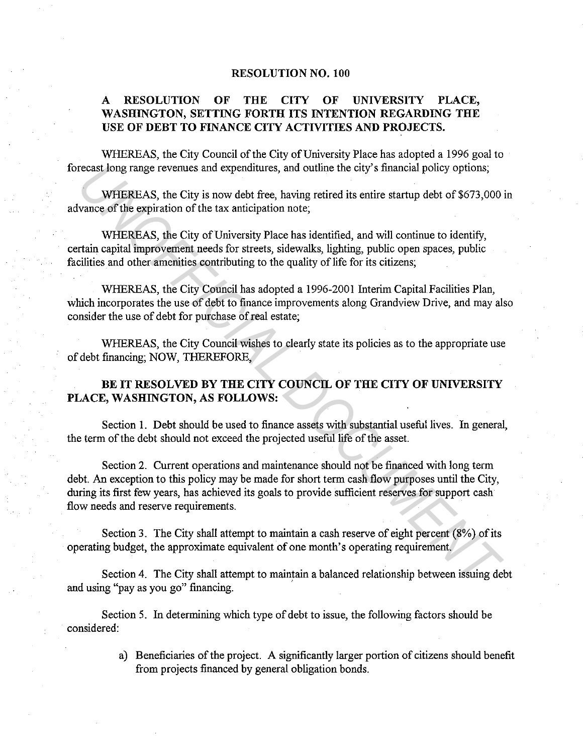## **RESOLUTION NO. 100**

## **A RESOLUTION OF THE CITY OF UNIVERSITY PLACE, WASHINGTON, SETTING FORTH ITS INTENTION REGARDING THE USE OF DEBT TO FINANCE CITY ACTIVITIES AND PROJECTS.**

WHEREAS, the City Council of the City of University Place has adopted a 1996 goal to forecast long range revenues and expenditures, and outline the city's financial policy options;

WHEREAS, the City is now debt free, having retired its entire startup debt of \$673,000 in advance of the expiration of the tax anticipation note;

WHEREAS, the City of University Place has identified, and will continue to identify, certain capital improvement needs for streets, sidewalks, lighting, public open spaces, public facilities and other amenities contributing to the quality of life for its citizens;

WHEREAS, the City Council has adopted a 1996-2001 Interim Capital Facilities Plan, which incorporates the use of debt to finance improvements along Grandview Drive, and may also consider the use of debt for purchase of real estate;

WHEREAS, the City Council wishes to clearly state its policies as to the appropriate use of debt financing; NOW, THEREFORE,

**BE IT RESOLVED BY THE CITY COUNCIL OF THE CITY OF UNIVERSITY PLACE, WASHINGTON, AS FOLLOWS:** 

Section **1.** Debt should be used to finance assets with substantial useful lives. In general, the term of the debt should not exceed the projected useful life of the asset.

Section 2. Current operations and maintenance should not be financed with long term debt. An exception to this policy may be made for short term cash flow purposes until the City, during its first few years, has achieved its goals to provide sufficient reserves for support cash flow needs and reserve requirements. **Example 7** and expenditures, and outline the city's financial policy options;<br> **WHEREAS**, the City is now debt free, having retired its entire startup debt of \$673,000<br>
vance of the expiration of the tax anticipation note

Section 3. The City shall attempt to maintain a cash reserve of eight percent (8%) of its operating budget, the approximate equivalent of one month's operating requirement.

Section 4. The City shall attempt to maintain a balanced relationship between issuing debt and using "pay as you go" financing.

Section 5. In determining which type of debt to issue, the following factors should be considered:

> a) Beneficiaries of the project. A significantly larger portion of citizens should benefit from projects financed by general obligation bonds.